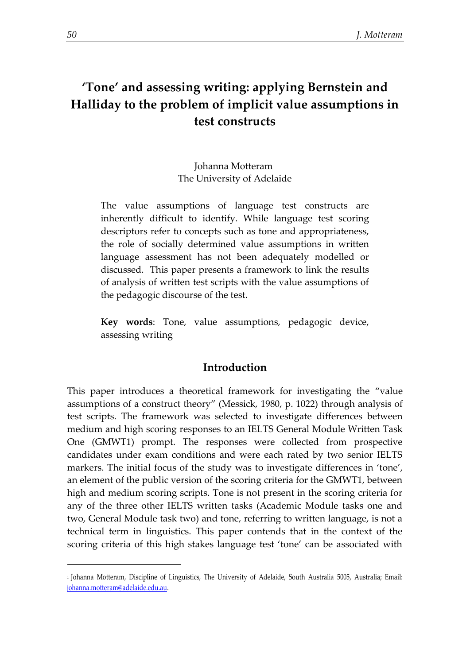# **'Tone' and assessing writing: applying Bernstein and Halliday to the problem of implicit value assumptions in test constructs**

# Johanna Motteram<sup>1</sup> The University of Adelaide

The value assumptions of language test constructs are inherently difficult to identify. While language test scoring descriptors refer to concepts such as tone and appropriateness, the role of socially determined value assumptions in written language assessment has not been adequately modelled or discussed. This paper presents a framework to link the results of analysis of written test scripts with the value assumptions of the pedagogic discourse of the test.

**Key words**: Tone, value assumptions, pedagogic device, assessing writing

# **Introduction**

This paper introduces a theoretical framework for investigating the "value assumptions of a construct theory" (Messick, 1980, p. 1022) through analysis of test scripts. The framework was selected to investigate differences between medium and high scoring responses to an IELTS General Module Written Task One (GMWT1) prompt. The responses were collected from prospective candidates under exam conditions and were each rated by two senior IELTS markers. The initial focus of the study was to investigate differences in 'tone', an element of the public version of the scoring criteria for the GMWT1, between high and medium scoring scripts. Tone is not present in the scoring criteria for any of the three other IELTS written tasks (Academic Module tasks one and two, General Module task two) and tone, referring to written language, is not a technical term in linguistics. This paper contends that in the context of the scoring criteria of this high stakes language test 'tone' can be associated with

1

<sup>1</sup> Johanna Motteram, Discipline of Linguistics, The University of Adelaide, South Australia 5005, Australia; Email: [johanna.motteram@adelaide.edu.au.](mailto:johanna.motteram@adelaide.edu.au)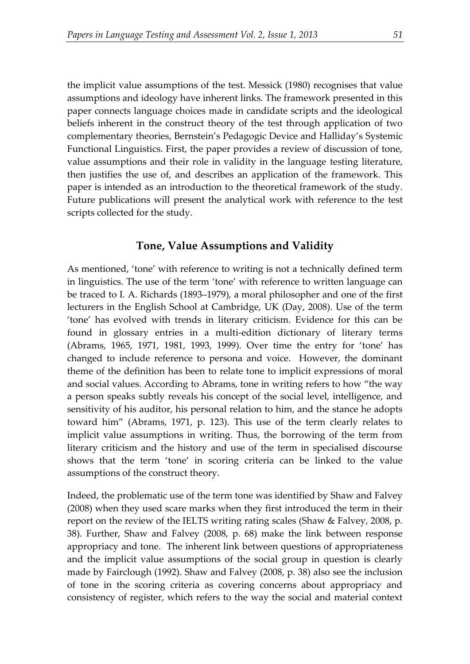the implicit value assumptions of the test. Messick (1980) recognises that value assumptions and ideology have inherent links. The framework presented in this paper connects language choices made in candidate scripts and the ideological beliefs inherent in the construct theory of the test through application of two complementary theories, Bernstein's Pedagogic Device and Halliday's Systemic Functional Linguistics. First, the paper provides a review of discussion of tone, value assumptions and their role in validity in the language testing literature, then justifies the use of, and describes an application of the framework. This paper is intended as an introduction to the theoretical framework of the study. Future publications will present the analytical work with reference to the test scripts collected for the study.

### **Tone, Value Assumptions and Validity**

As mentioned, 'tone' with reference to writing is not a technically defined term in linguistics. The use of the term 'tone' with reference to written language can be traced to I. A. Richards (1893–1979), a moral philosopher and one of the first lecturers in the English School at Cambridge, UK (Day, 2008). Use of the term 'tone' has evolved with trends in literary criticism. Evidence for this can be found in glossary entries in a multi-edition dictionary of literary terms (Abrams, 1965, 1971, 1981, 1993, 1999). Over time the entry for 'tone' has changed to include reference to persona and voice. However, the dominant theme of the definition has been to relate tone to implicit expressions of moral and social values. According to Abrams, tone in writing refers to how "the way a person speaks subtly reveals his concept of the social level, intelligence, and sensitivity of his auditor, his personal relation to him, and the stance he adopts toward him" (Abrams, 1971, p. 123). This use of the term clearly relates to implicit value assumptions in writing. Thus, the borrowing of the term from literary criticism and the history and use of the term in specialised discourse shows that the term 'tone' in scoring criteria can be linked to the value assumptions of the construct theory.

Indeed, the problematic use of the term tone was identified by Shaw and Falvey (2008) when they used scare marks when they first introduced the term in their report on the review of the IELTS writing rating scales (Shaw & Falvey, 2008, p. 38). Further, Shaw and Falvey (2008, p. 68) make the link between response appropriacy and tone. The inherent link between questions of appropriateness and the implicit value assumptions of the social group in question is clearly made by Fairclough (1992). Shaw and Falvey (2008, p. 38) also see the inclusion of tone in the scoring criteria as covering concerns about appropriacy and consistency of register, which refers to the way the social and material context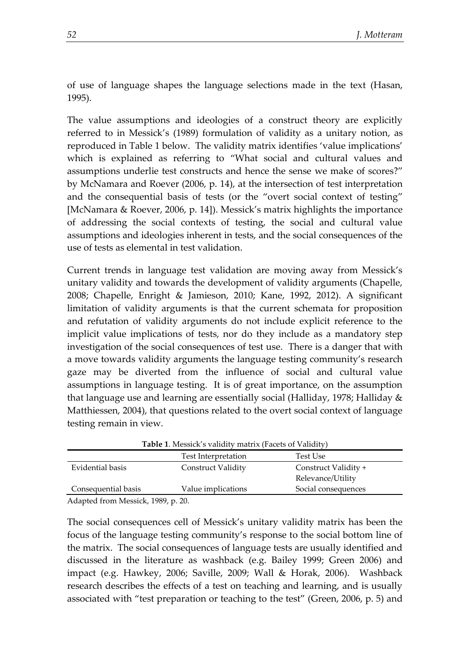of use of language shapes the language selections made in the text (Hasan, 1995).

The value assumptions and ideologies of a construct theory are explicitly referred to in Messick's (1989) formulation of validity as a unitary notion, as reproduced in Table 1 below. The validity matrix identifies 'value implications' which is explained as referring to "What social and cultural values and assumptions underlie test constructs and hence the sense we make of scores?" by McNamara and Roever (2006, p. 14), at the intersection of test interpretation and the consequential basis of tests (or the "overt social context of testing" [McNamara & Roever, 2006, p. 14]). Messick's matrix highlights the importance of addressing the social contexts of testing, the social and cultural value assumptions and ideologies inherent in tests, and the social consequences of the use of tests as elemental in test validation.

Current trends in language test validation are moving away from Messick's unitary validity and towards the development of validity arguments (Chapelle, 2008; Chapelle, Enright & Jamieson, 2010; Kane, 1992, 2012). A significant limitation of validity arguments is that the current schemata for proposition and refutation of validity arguments do not include explicit reference to the implicit value implications of tests, nor do they include as a mandatory step investigation of the social consequences of test use. There is a danger that with a move towards validity arguments the language testing community's research gaze may be diverted from the influence of social and cultural value assumptions in language testing. It is of great importance, on the assumption that language use and learning are essentially social (Halliday, 1978; Halliday & Matthiessen, 2004), that questions related to the overt social context of language testing remain in view.

| <b>Table 1.</b> Messick's validity matrix (Facets of Validity) |                           |                      |
|----------------------------------------------------------------|---------------------------|----------------------|
|                                                                | Test Interpretation       | Test Use             |
| Evidential basis                                               | <b>Construct Validity</b> | Construct Validity + |
|                                                                |                           | Relevance/Utility    |
| Consequential basis                                            | Value implications        | Social consequences  |
|                                                                |                           |                      |

**Table 1**. Messick's validity matrix (Facets of Validity)

Adapted from Messick, 1989, p. 20.

The social consequences cell of Messick's unitary validity matrix has been the focus of the language testing community's response to the social bottom line of the matrix. The social consequences of language tests are usually identified and discussed in the literature as washback (e.g. Bailey 1999; Green 2006) and impact (e.g. Hawkey, 2006; Saville, 2009; Wall & Horak, 2006). Washback research describes the effects of a test on teaching and learning, and is usually associated with "test preparation or teaching to the test" (Green, 2006, p. 5) and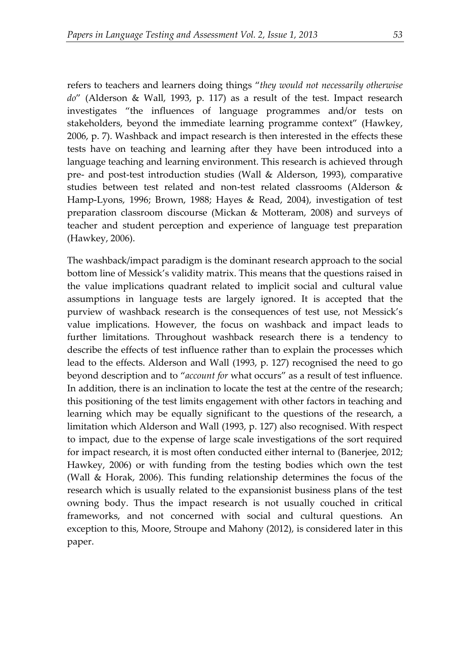refers to teachers and learners doing things "*they would not necessarily otherwise do*" (Alderson & Wall, 1993, p. 117) as a result of the test. Impact research investigates "the influences of language programmes and/or tests on stakeholders, beyond the immediate learning programme context" (Hawkey, 2006, p. 7). Washback and impact research is then interested in the effects these tests have on teaching and learning after they have been introduced into a language teaching and learning environment. This research is achieved through pre- and post-test introduction studies (Wall & Alderson, 1993), comparative studies between test related and non-test related classrooms (Alderson & Hamp-Lyons, 1996; Brown, 1988; Hayes & Read, 2004), investigation of test preparation classroom discourse (Mickan & Motteram, 2008) and surveys of teacher and student perception and experience of language test preparation (Hawkey, 2006).

The washback/impact paradigm is the dominant research approach to the social bottom line of Messick's validity matrix. This means that the questions raised in the value implications quadrant related to implicit social and cultural value assumptions in language tests are largely ignored. It is accepted that the purview of washback research is the consequences of test use, not Messick's value implications. However, the focus on washback and impact leads to further limitations. Throughout washback research there is a tendency to describe the effects of test influence rather than to explain the processes which lead to the effects. Alderson and Wall (1993, p. 127) recognised the need to go beyond description and to "*account for* what occurs" as a result of test influence. In addition, there is an inclination to locate the test at the centre of the research; this positioning of the test limits engagement with other factors in teaching and learning which may be equally significant to the questions of the research, a limitation which Alderson and Wall (1993, p. 127) also recognised. With respect to impact, due to the expense of large scale investigations of the sort required for impact research, it is most often conducted either internal to (Banerjee, 2012; Hawkey, 2006) or with funding from the testing bodies which own the test (Wall & Horak, 2006). This funding relationship determines the focus of the research which is usually related to the expansionist business plans of the test owning body. Thus the impact research is not usually couched in critical frameworks, and not concerned with social and cultural questions. An exception to this, Moore, Stroupe and Mahony (2012), is considered later in this paper.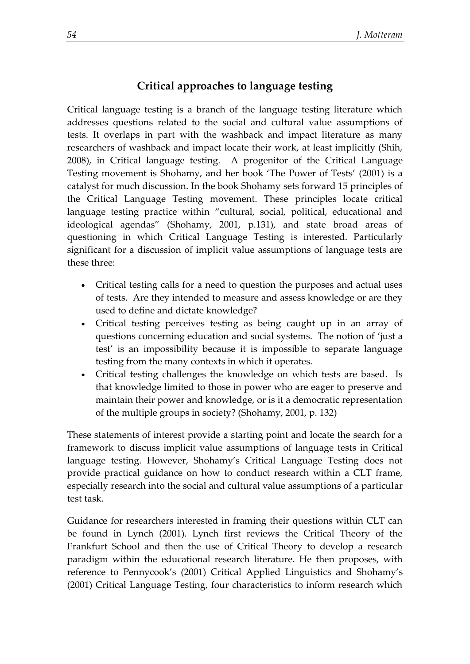# **Critical approaches to language testing**

Critical language testing is a branch of the language testing literature which addresses questions related to the social and cultural value assumptions of tests. It overlaps in part with the washback and impact literature as many researchers of washback and impact locate their work, at least implicitly (Shih, 2008), in Critical language testing. A progenitor of the Critical Language Testing movement is Shohamy, and her book 'The Power of Tests' (2001) is a catalyst for much discussion. In the book Shohamy sets forward 15 principles of the Critical Language Testing movement. These principles locate critical language testing practice within "cultural, social, political, educational and ideological agendas" (Shohamy, 2001, p.131), and state broad areas of questioning in which Critical Language Testing is interested. Particularly significant for a discussion of implicit value assumptions of language tests are these three:

- Critical testing calls for a need to question the purposes and actual uses of tests. Are they intended to measure and assess knowledge or are they used to define and dictate knowledge?
- Critical testing perceives testing as being caught up in an array of questions concerning education and social systems. The notion of 'just a test' is an impossibility because it is impossible to separate language testing from the many contexts in which it operates.
- Critical testing challenges the knowledge on which tests are based. Is that knowledge limited to those in power who are eager to preserve and maintain their power and knowledge, or is it a democratic representation of the multiple groups in society? (Shohamy, 2001, p. 132)

These statements of interest provide a starting point and locate the search for a framework to discuss implicit value assumptions of language tests in Critical language testing. However, Shohamy's Critical Language Testing does not provide practical guidance on how to conduct research within a CLT frame, especially research into the social and cultural value assumptions of a particular test task.

Guidance for researchers interested in framing their questions within CLT can be found in Lynch (2001). Lynch first reviews the Critical Theory of the Frankfurt School and then the use of Critical Theory to develop a research paradigm within the educational research literature. He then proposes, with reference to Pennycook's (2001) Critical Applied Linguistics and Shohamy's (2001) Critical Language Testing, four characteristics to inform research which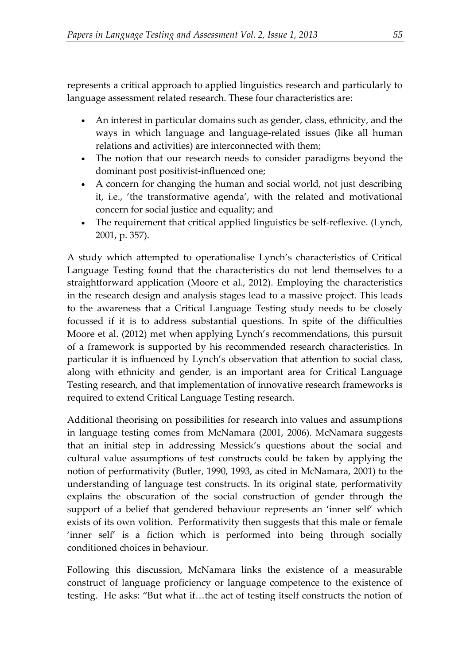represents a critical approach to applied linguistics research and particularly to language assessment related research. These four characteristics are:

- An interest in particular domains such as gender, class, ethnicity, and the ways in which language and language-related issues (like all human relations and activities) are interconnected with them;
- The notion that our research needs to consider paradigms beyond the dominant post positivist-influenced one;
- A concern for changing the human and social world, not just describing it, i.e., 'the transformative agenda', with the related and motivational concern for social justice and equality; and
- The requirement that critical applied linguistics be self-reflexive. (Lynch, 2001, p. 357).

A study which attempted to operationalise Lynch's characteristics of Critical Language Testing found that the characteristics do not lend themselves to a straightforward application (Moore et al., 2012). Employing the characteristics in the research design and analysis stages lead to a massive project. This leads to the awareness that a Critical Language Testing study needs to be closely focussed if it is to address substantial questions. In spite of the difficulties Moore et al. (2012) met when applying Lynch's recommendations, this pursuit of a framework is supported by his recommended research characteristics. In particular it is influenced by Lynch's observation that attention to social class, along with ethnicity and gender, is an important area for Critical Language Testing research, and that implementation of innovative research frameworks is required to extend Critical Language Testing research.

Additional theorising on possibilities for research into values and assumptions in language testing comes from McNamara (2001, 2006). McNamara suggests that an initial step in addressing Messick's questions about the social and cultural value assumptions of test constructs could be taken by applying the notion of performativity (Butler, 1990, 1993, as cited in McNamara, 2001) to the understanding of language test constructs. In its original state, performativity explains the obscuration of the social construction of gender through the support of a belief that gendered behaviour represents an 'inner self' which exists of its own volition. Performativity then suggests that this male or female 'inner self' is a fiction which is performed into being through socially conditioned choices in behaviour.

Following this discussion, McNamara links the existence of a measurable construct of language proficiency or language competence to the existence of testing. He asks: "But what if…the act of testing itself constructs the notion of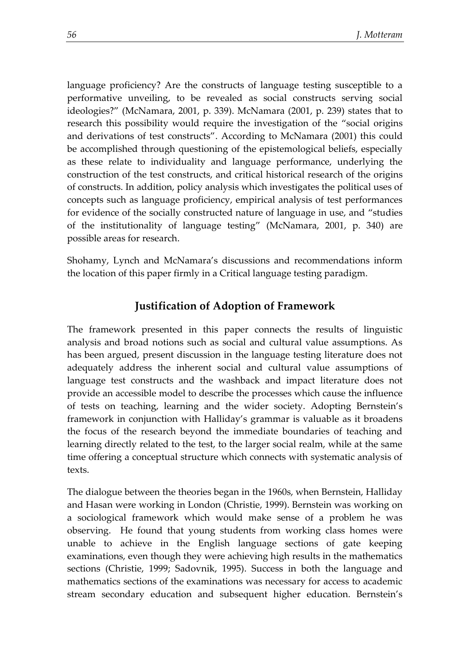language proficiency? Are the constructs of language testing susceptible to a performative unveiling, to be revealed as social constructs serving social ideologies?" (McNamara, 2001, p. 339). McNamara (2001, p. 239) states that to research this possibility would require the investigation of the "social origins and derivations of test constructs". According to McNamara (2001) this could be accomplished through questioning of the epistemological beliefs, especially as these relate to individuality and language performance, underlying the construction of the test constructs, and critical historical research of the origins of constructs. In addition, policy analysis which investigates the political uses of concepts such as language proficiency, empirical analysis of test performances for evidence of the socially constructed nature of language in use, and "studies of the institutionality of language testing" (McNamara, 2001, p. 340) are possible areas for research.

Shohamy, Lynch and McNamara's discussions and recommendations inform the location of this paper firmly in a Critical language testing paradigm.

# **Justification of Adoption of Framework**

The framework presented in this paper connects the results of linguistic analysis and broad notions such as social and cultural value assumptions. As has been argued, present discussion in the language testing literature does not adequately address the inherent social and cultural value assumptions of language test constructs and the washback and impact literature does not provide an accessible model to describe the processes which cause the influence of tests on teaching, learning and the wider society. Adopting Bernstein's framework in conjunction with Halliday's grammar is valuable as it broadens the focus of the research beyond the immediate boundaries of teaching and learning directly related to the test, to the larger social realm, while at the same time offering a conceptual structure which connects with systematic analysis of texts.

The dialogue between the theories began in the 1960s, when Bernstein, Halliday and Hasan were working in London (Christie, 1999). Bernstein was working on a sociological framework which would make sense of a problem he was observing. He found that young students from working class homes were unable to achieve in the English language sections of gate keeping examinations, even though they were achieving high results in the mathematics sections (Christie, 1999; Sadovnik, 1995). Success in both the language and mathematics sections of the examinations was necessary for access to academic stream secondary education and subsequent higher education. Bernstein's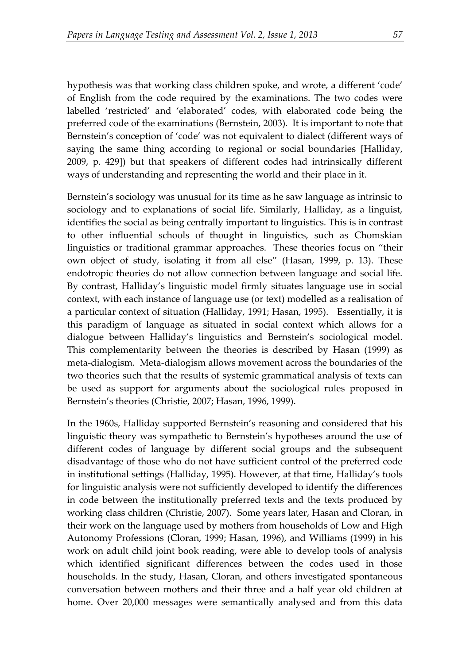hypothesis was that working class children spoke, and wrote, a different 'code' of English from the code required by the examinations. The two codes were labelled 'restricted' and 'elaborated' codes, with elaborated code being the preferred code of the examinations (Bernstein, 2003). It is important to note that Bernstein's conception of 'code' was not equivalent to dialect (different ways of saying the same thing according to regional or social boundaries [Halliday, 2009, p. 429]) but that speakers of different codes had intrinsically different ways of understanding and representing the world and their place in it.

Bernstein's sociology was unusual for its time as he saw language as intrinsic to sociology and to explanations of social life. Similarly, Halliday, as a linguist, identifies the social as being centrally important to linguistics. This is in contrast to other influential schools of thought in linguistics, such as Chomskian linguistics or traditional grammar approaches. These theories focus on "their own object of study, isolating it from all else" (Hasan, 1999, p. 13). These endotropic theories do not allow connection between language and social life. By contrast, Halliday's linguistic model firmly situates language use in social context, with each instance of language use (or text) modelled as a realisation of a particular context of situation (Halliday, 1991; Hasan, 1995). Essentially, it is this paradigm of language as situated in social context which allows for a dialogue between Halliday's linguistics and Bernstein's sociological model. This complementarity between the theories is described by Hasan (1999) as meta-dialogism. Meta-dialogism allows movement across the boundaries of the two theories such that the results of systemic grammatical analysis of texts can be used as support for arguments about the sociological rules proposed in Bernstein's theories (Christie, 2007; Hasan, 1996, 1999).

In the 1960s, Halliday supported Bernstein's reasoning and considered that his linguistic theory was sympathetic to Bernstein's hypotheses around the use of different codes of language by different social groups and the subsequent disadvantage of those who do not have sufficient control of the preferred code in institutional settings (Halliday, 1995). However, at that time, Halliday's tools for linguistic analysis were not sufficiently developed to identify the differences in code between the institutionally preferred texts and the texts produced by working class children (Christie, 2007). Some years later, Hasan and Cloran, in their work on the language used by mothers from households of Low and High Autonomy Professions (Cloran, 1999; Hasan, 1996), and Williams (1999) in his work on adult child joint book reading, were able to develop tools of analysis which identified significant differences between the codes used in those households. In the study, Hasan, Cloran, and others investigated spontaneous conversation between mothers and their three and a half year old children at home. Over 20,000 messages were semantically analysed and from this data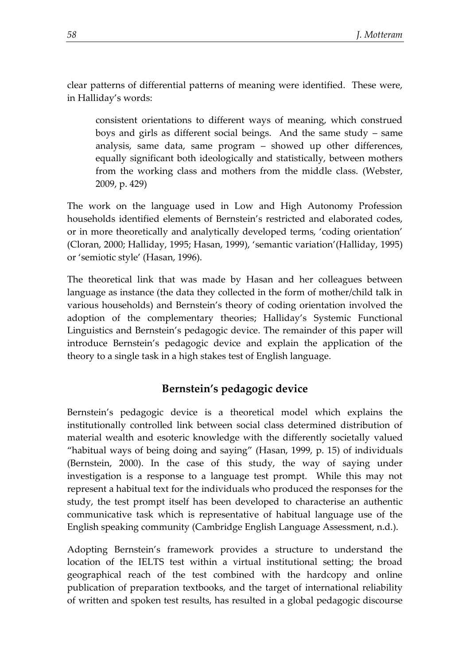clear patterns of differential patterns of meaning were identified. These were, in Halliday's words:

consistent orientations to different ways of meaning, which construed boys and girls as different social beings. And the same study – same analysis, same data, same program – showed up other differences, equally significant both ideologically and statistically, between mothers from the working class and mothers from the middle class. (Webster, 2009, p. 429)

The work on the language used in Low and High Autonomy Profession households identified elements of Bernstein's restricted and elaborated codes, or in more theoretically and analytically developed terms, 'coding orientation' (Cloran, 2000; Halliday, 1995; Hasan, 1999), 'semantic variation'(Halliday, 1995) or 'semiotic style' (Hasan, 1996).

The theoretical link that was made by Hasan and her colleagues between language as instance (the data they collected in the form of mother/child talk in various households) and Bernstein's theory of coding orientation involved the adoption of the complementary theories; Halliday's Systemic Functional Linguistics and Bernstein's pedagogic device. The remainder of this paper will introduce Bernstein's pedagogic device and explain the application of the theory to a single task in a high stakes test of English language.

# **Bernstein's pedagogic device**

Bernstein's pedagogic device is a theoretical model which explains the institutionally controlled link between social class determined distribution of material wealth and esoteric knowledge with the differently societally valued "habitual ways of being doing and saying" (Hasan, 1999, p. 15) of individuals (Bernstein, 2000). In the case of this study, the way of saying under investigation is a response to a language test prompt. While this may not represent a habitual text for the individuals who produced the responses for the study, the test prompt itself has been developed to characterise an authentic communicative task which is representative of habitual language use of the English speaking community (Cambridge English Language Assessment, n.d.).

Adopting Bernstein's framework provides a structure to understand the location of the IELTS test within a virtual institutional setting; the broad geographical reach of the test combined with the hardcopy and online publication of preparation textbooks, and the target of international reliability of written and spoken test results, has resulted in a global pedagogic discourse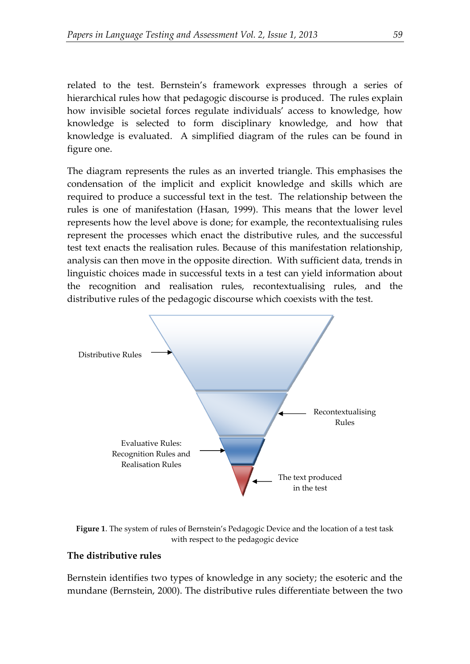related to the test. Bernstein's framework expresses through a series of hierarchical rules how that pedagogic discourse is produced. The rules explain how invisible societal forces regulate individuals' access to knowledge, how knowledge is selected to form disciplinary knowledge, and how that knowledge is evaluated. A simplified diagram of the rules can be found in figure one.

The diagram represents the rules as an inverted triangle. This emphasises the condensation of the implicit and explicit knowledge and skills which are required to produce a successful text in the test. The relationship between the rules is one of manifestation (Hasan, 1999). This means that the lower level represents how the level above is done; for example, the recontextualising rules represent the processes which enact the distributive rules, and the successful test text enacts the realisation rules. Because of this manifestation relationship, analysis can then move in the opposite direction. With sufficient data, trends in linguistic choices made in successful texts in a test can yield information about the recognition and realisation rules, recontextualising rules, and the distributive rules of the pedagogic discourse which coexists with the test.



**Figure 1**. The system of rules of Bernstein's Pedagogic Device and the location of a test task with respect to the pedagogic device

#### **The distributive rules**

Bernstein identifies two types of knowledge in any society; the esoteric and the mundane (Bernstein, 2000). The distributive rules differentiate between the two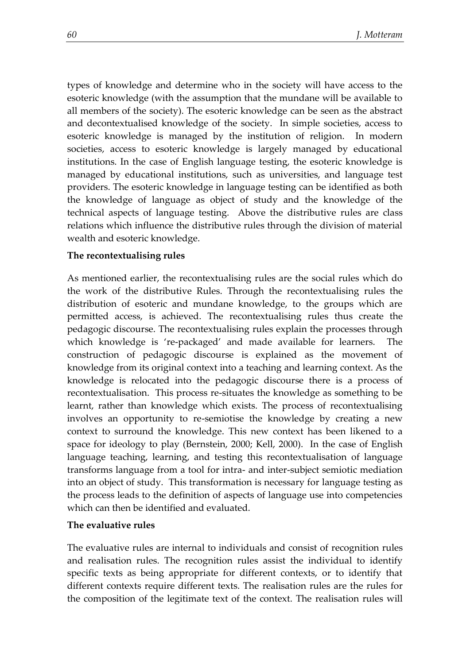types of knowledge and determine who in the society will have access to the esoteric knowledge (with the assumption that the mundane will be available to all members of the society). The esoteric knowledge can be seen as the abstract and decontextualised knowledge of the society. In simple societies, access to esoteric knowledge is managed by the institution of religion. In modern societies, access to esoteric knowledge is largely managed by educational institutions. In the case of English language testing, the esoteric knowledge is managed by educational institutions, such as universities, and language test providers. The esoteric knowledge in language testing can be identified as both the knowledge of language as object of study and the knowledge of the technical aspects of language testing. Above the distributive rules are class relations which influence the distributive rules through the division of material wealth and esoteric knowledge.

### **The recontextualising rules**

As mentioned earlier, the recontextualising rules are the social rules which do the work of the distributive Rules. Through the recontextualising rules the distribution of esoteric and mundane knowledge, to the groups which are permitted access, is achieved. The recontextualising rules thus create the pedagogic discourse. The recontextualising rules explain the processes through which knowledge is 're-packaged' and made available for learners. The construction of pedagogic discourse is explained as the movement of knowledge from its original context into a teaching and learning context. As the knowledge is relocated into the pedagogic discourse there is a process of recontextualisation. This process re-situates the knowledge as something to be learnt, rather than knowledge which exists. The process of recontextualising involves an opportunity to re-semiotise the knowledge by creating a new context to surround the knowledge. This new context has been likened to a space for ideology to play (Bernstein, 2000; Kell, 2000). In the case of English language teaching, learning, and testing this recontextualisation of language transforms language from a tool for intra- and inter-subject semiotic mediation into an object of study. This transformation is necessary for language testing as the process leads to the definition of aspects of language use into competencies which can then be identified and evaluated.

### **The evaluative rules**

The evaluative rules are internal to individuals and consist of recognition rules and realisation rules. The recognition rules assist the individual to identify specific texts as being appropriate for different contexts, or to identify that different contexts require different texts. The realisation rules are the rules for the composition of the legitimate text of the context. The realisation rules will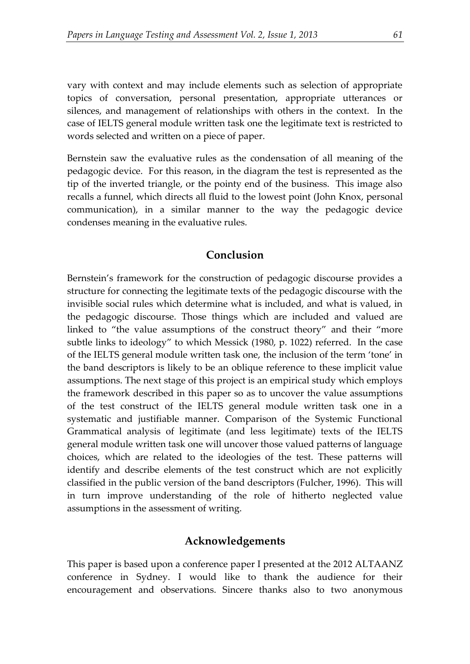vary with context and may include elements such as selection of appropriate topics of conversation, personal presentation, appropriate utterances or silences, and management of relationships with others in the context. In the case of IELTS general module written task one the legitimate text is restricted to words selected and written on a piece of paper.

Bernstein saw the evaluative rules as the condensation of all meaning of the pedagogic device. For this reason, in the diagram the test is represented as the tip of the inverted triangle, or the pointy end of the business. This image also recalls a funnel, which directs all fluid to the lowest point (John Knox, personal communication), in a similar manner to the way the pedagogic device condenses meaning in the evaluative rules.

# **Conclusion**

Bernstein's framework for the construction of pedagogic discourse provides a structure for connecting the legitimate texts of the pedagogic discourse with the invisible social rules which determine what is included, and what is valued, in the pedagogic discourse. Those things which are included and valued are linked to "the value assumptions of the construct theory" and their "more subtle links to ideology" to which Messick (1980, p. 1022) referred. In the case of the IELTS general module written task one, the inclusion of the term 'tone' in the band descriptors is likely to be an oblique reference to these implicit value assumptions. The next stage of this project is an empirical study which employs the framework described in this paper so as to uncover the value assumptions of the test construct of the IELTS general module written task one in a systematic and justifiable manner. Comparison of the Systemic Functional Grammatical analysis of legitimate (and less legitimate) texts of the IELTS general module written task one will uncover those valued patterns of language choices, which are related to the ideologies of the test. These patterns will identify and describe elements of the test construct which are not explicitly classified in the public version of the band descriptors (Fulcher, 1996). This will in turn improve understanding of the role of hitherto neglected value assumptions in the assessment of writing.

### **Acknowledgements**

This paper is based upon a conference paper I presented at the 2012 ALTAANZ conference in Sydney. I would like to thank the audience for their encouragement and observations. Sincere thanks also to two anonymous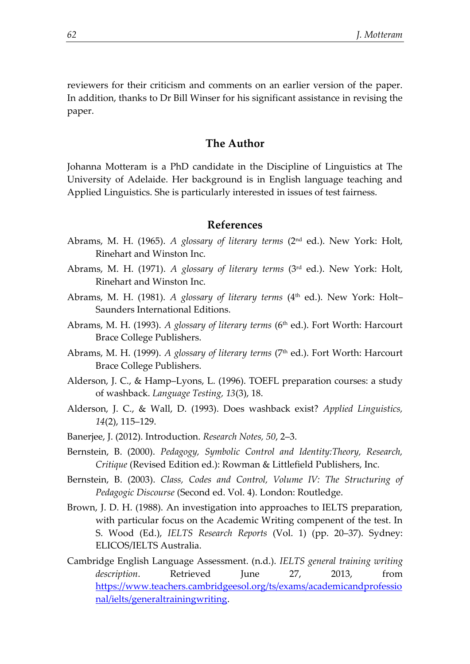reviewers for their criticism and comments on an earlier version of the paper. In addition, thanks to Dr Bill Winser for his significant assistance in revising the paper.

### **The Author**

Johanna Motteram is a PhD candidate in the Discipline of Linguistics at The University of Adelaide. Her background is in English language teaching and Applied Linguistics. She is particularly interested in issues of test fairness.

### **References**

- Abrams, M. H. (1965). *A glossary of literary terms* (2nd ed.). New York: Holt, Rinehart and Winston Inc.
- Abrams, M. H. (1971). *A glossary of literary terms* (3rd ed.). New York: Holt, Rinehart and Winston Inc.
- Abrams, M. H. (1981). *A glossary of literary terms* (4<sup>th</sup> ed.). New York: Holt-Saunders International Editions.
- Abrams, M. H. (1993). *A glossary of literary terms* (6<sup>th</sup> ed.). Fort Worth: Harcourt Brace College Publishers.
- Abrams, M. H. (1999). *A glossary of literary terms* (7<sup>th</sup> ed.). Fort Worth: Harcourt Brace College Publishers.
- Alderson, J. C., & Hamp–Lyons, L. (1996). TOEFL preparation courses: a study of washback. *Language Testing, 13*(3), 18.
- Alderson, J. C., & Wall, D. (1993). Does washback exist? *Applied Linguistics, 14*(2), 115–129.
- Banerjee, J. (2012). Introduction. *Research Notes, 50*, 2–3.
- Bernstein, B. (2000). *Pedagogy, Symbolic Control and Identity:Theory, Research, Critique* (Revised Edition ed.): Rowman & Littlefield Publishers, Inc.
- Bernstein, B. (2003). *Class, Codes and Control, Volume IV: The Structuring of Pedagogic Discourse* (Second ed. Vol. 4). London: Routledge.
- Brown, J. D. H. (1988). An investigation into approaches to IELTS preparation, with particular focus on the Academic Writing compenent of the test. In S. Wood (Ed.), *IELTS Research Reports* (Vol. 1) (pp. 20–37). Sydney: ELICOS/IELTS Australia.
- Cambridge English Language Assessment. (n.d.). *IELTS general training writing description*. Retrieved June 27, 2013, from [https://www.teachers.cambridgeesol.org/ts/exams/academicandprofessio](https://www.teachers.cambridgeesol.org/ts/exams/academicandprofessional/ielts/generaltrainingwriting) [nal/ielts/generaltrainingwriting.](https://www.teachers.cambridgeesol.org/ts/exams/academicandprofessional/ielts/generaltrainingwriting)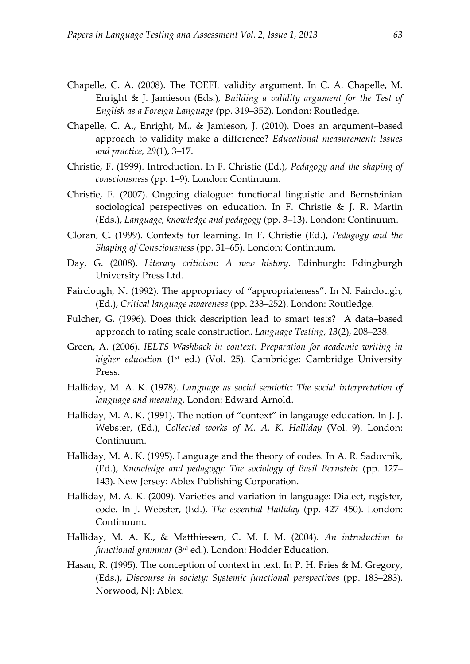- Chapelle, C. A. (2008). The TOEFL validity argument. In C. A. Chapelle, M. Enright & J. Jamieson (Eds.), *Building a validity argument for the Test of English as a Foreign Language* (pp. 319–352). London: Routledge.
- Chapelle, C. A., Enright, M., & Jamieson, J. (2010). Does an argument–based approach to validity make a difference? *Educational measurement: Issues and practice, 29*(1), 3–17.
- Christie, F. (1999). Introduction. In F. Christie (Ed.), *Pedagogy and the shaping of consciousness* (pp. 1–9). London: Continuum.
- Christie, F. (2007). Ongoing dialogue: functional linguistic and Bernsteinian sociological perspectives on education. In F. Christie & J. R. Martin (Eds.), *Language, knowledge and pedagogy* (pp. 3–13). London: Continuum.
- Cloran, C. (1999). Contexts for learning. In F. Christie (Ed.), *Pedagogy and the Shaping of Consciousness* (pp. 31–65). London: Continuum.
- Day, G. (2008). *Literary criticism: A new history*. Edinburgh: Edingburgh University Press Ltd.
- Fairclough, N. (1992). The appropriacy of "appropriateness". In N. Fairclough, (Ed.), *Critical language awareness* (pp. 233–252). London: Routledge.
- Fulcher, G. (1996). Does thick description lead to smart tests? A data–based approach to rating scale construction. *Language Testing, 13*(2), 208–238.
- Green, A. (2006). *IELTS Washback in context: Preparation for academic writing in higher education* (1<sup>st</sup> ed.) (Vol. 25). Cambridge: Cambridge University Press.
- Halliday, M. A. K. (1978). *Language as social semiotic: The social interpretation of language and meaning*. London: Edward Arnold.
- Halliday, M. A. K. (1991). The notion of "context" in langauge education. In J. J. Webster, (Ed.), *Collected works of M. A. K. Halliday* (Vol. 9). London: Continuum.
- Halliday, M. A. K. (1995). Language and the theory of codes. In A. R. Sadovnik, (Ed.), *Knowledge and pedagogy: The sociology of Basil Bernstein* (pp. 127– 143). New Jersey: Ablex Publishing Corporation.
- Halliday, M. A. K. (2009). Varieties and variation in language: Dialect, register, code. In J. Webster, (Ed.), *The essential Halliday* (pp. 427–450). London: Continuum.
- Halliday, M. A. K., & Matthiessen, C. M. I. M. (2004). *An introduction to functional grammar* (3rd ed.). London: Hodder Education.
- Hasan, R. (1995). The conception of context in text. In P. H. Fries & M. Gregory, (Eds.), *Discourse in society: Systemic functional perspectives* (pp. 183–283). Norwood, NJ: Ablex.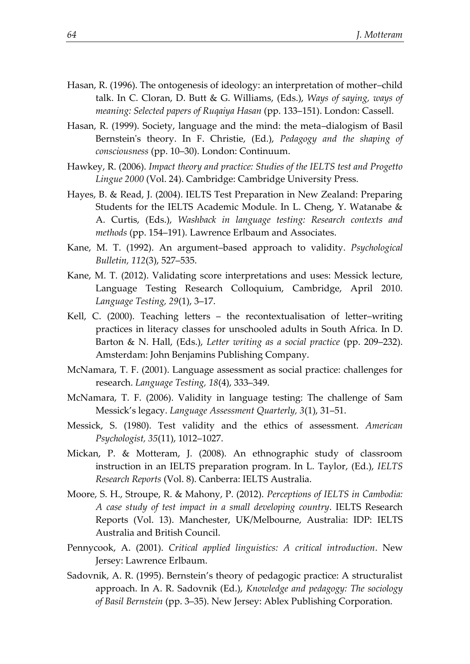- Hasan, R. (1996). The ontogenesis of ideology: an interpretation of mother–child talk. In C. Cloran, D. Butt & G. Williams, (Eds.), *Ways of saying, ways of meaning: Selected papers of Ruqaiya Hasan* (pp. 133–151). London: Cassell.
- Hasan, R. (1999). Society, language and the mind: the meta–dialogism of Basil Bernstein's theory. In F. Christie, (Ed.), *Pedagogy and the shaping of consciousness* (pp. 10–30). London: Continuum.
- Hawkey, R. (2006). *Impact theory and practice: Studies of the IELTS test and Progetto Lingue 2000* (Vol. 24). Cambridge: Cambridge University Press.
- Hayes, B. & Read, J. (2004). IELTS Test Preparation in New Zealand: Preparing Students for the IELTS Academic Module. In L. Cheng, Y. Watanabe & A. Curtis, (Eds.), *Washback in language testing: Research contexts and methods* (pp. 154–191). Lawrence Erlbaum and Associates.
- Kane, M. T. (1992). An argument–based approach to validity. *Psychological Bulletin, 112*(3), 527–535.
- Kane, M. T. (2012). Validating score interpretations and uses: Messick lecture, Language Testing Research Colloquium, Cambridge, April 2010. *Language Testing, 29*(1), 3–17.
- Kell, C. (2000). Teaching letters the recontextualisation of letter–writing practices in literacy classes for unschooled adults in South Africa. In D. Barton & N. Hall, (Eds.), *Letter writing as a social practice* (pp. 209–232). Amsterdam: John Benjamins Publishing Company.
- McNamara, T. F. (2001). Language assessment as social practice: challenges for research. *Language Testing, 18*(4), 333–349.
- McNamara, T. F. (2006). Validity in language testing: The challenge of Sam Messick's legacy. *Language Assessment Quarterly, 3*(1), 31–51.
- Messick, S. (1980). Test validity and the ethics of assessment. *American Psychologist, 35*(11), 1012–1027.
- Mickan, P. & Motteram, J. (2008). An ethnographic study of classroom instruction in an IELTS preparation program. In L. Taylor, (Ed.), *IELTS Research Reports* (Vol. 8). Canberra: IELTS Australia.
- Moore, S. H., Stroupe, R. & Mahony, P. (2012). *Perceptions of IELTS in Cambodia: A case study of test impact in a small developing country*. IELTS Research Reports (Vol. 13). Manchester, UK/Melbourne, Australia: IDP: IELTS Australia and British Council.
- Pennycook, A. (2001). *Critical applied linguistics: A critical introduction*. New Jersey: Lawrence Erlbaum.
- Sadovnik, A. R. (1995). Bernstein's theory of pedagogic practice: A structuralist approach. In A. R. Sadovnik (Ed.), *Knowledge and pedagogy: The sociology of Basil Bernstein* (pp. 3–35). New Jersey: Ablex Publishing Corporation.